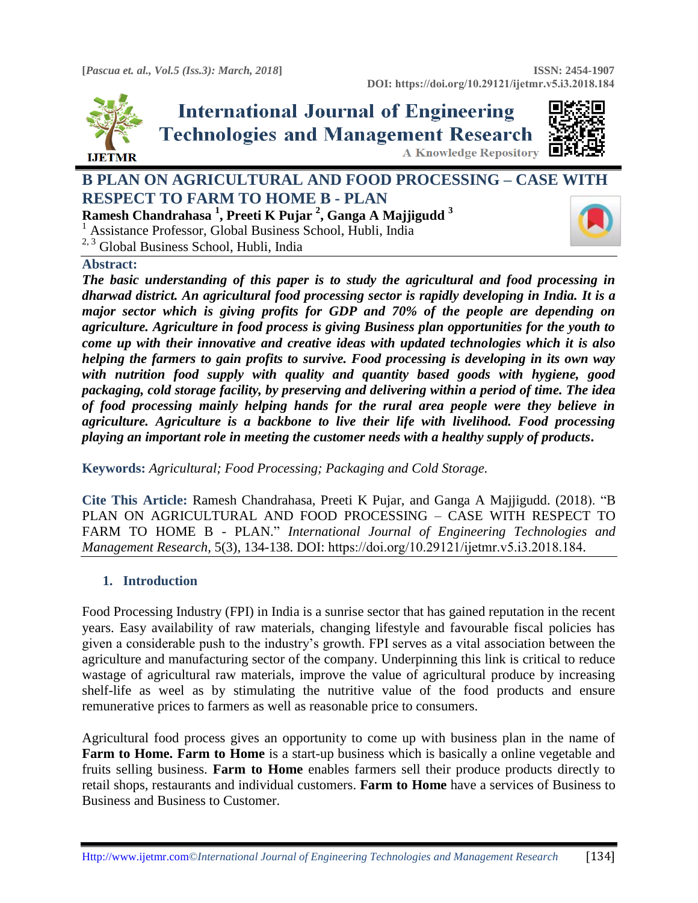

# **International Journal of Engineering Technologies and Management Research A Knowledge Repository**



# **B PLAN ON AGRICULTURAL AND FOOD PROCESSING – CASE WITH RESPECT TO FARM TO HOME B - PLAN Ramesh Chandrahasa <sup>1</sup> , Preeti K Pujar <sup>2</sup> , Ganga A Majjigudd <sup>3</sup>**

<sup>1</sup> Assistance Professor, Global Business School, Hubli, India

<sup>2, 3</sup> Global Business School, Hubli, India

#### **Abstract:**

*The basic understanding of this paper is to study the agricultural and food processing in dharwad district. An agricultural food processing sector is rapidly developing in India. It is a major sector which is giving profits for GDP and 70% of the people are depending on agriculture. Agriculture in food process is giving Business plan opportunities for the youth to come up with their innovative and creative ideas with updated technologies which it is also helping the farmers to gain profits to survive. Food processing is developing in its own way with nutrition food supply with quality and quantity based goods with hygiene, good packaging, cold storage facility, by preserving and delivering within a period of time. The idea of food processing mainly helping hands for the rural area people were they believe in agriculture. Agriculture is a backbone to live their life with livelihood. Food processing playing an important role in meeting the customer needs with a healthy supply of products***.**

**Keywords:** *Agricultural; Food Processing; Packaging and Cold Storage.* 

**Cite This Article:** Ramesh Chandrahasa, Preeti K Pujar, and Ganga A Majjigudd. (2018). "B PLAN ON AGRICULTURAL AND FOOD PROCESSING – CASE WITH RESPECT TO FARM TO HOME B - PLAN." *International Journal of Engineering Technologies and Management Research,* 5(3), 134-138. DOI: https://doi.org/10.29121/ijetmr.v5.i3.2018.184.

# **1. Introduction**

Food Processing Industry (FPI) in India is a sunrise sector that has gained reputation in the recent years. Easy availability of raw materials, changing lifestyle and favourable fiscal policies has given a considerable push to the industry's growth. FPI serves as a vital association between the agriculture and manufacturing sector of the company. Underpinning this link is critical to reduce wastage of agricultural raw materials, improve the value of agricultural produce by increasing shelf-life as weel as by stimulating the nutritive value of the food products and ensure remunerative prices to farmers as well as reasonable price to consumers.

Agricultural food process gives an opportunity to come up with business plan in the name of **Farm to Home. Farm to Home** is a start-up business which is basically a online vegetable and fruits selling business. **Farm to Home** enables farmers sell their produce products directly to retail shops, restaurants and individual customers. **Farm to Home** have a services of Business to Business and Business to Customer.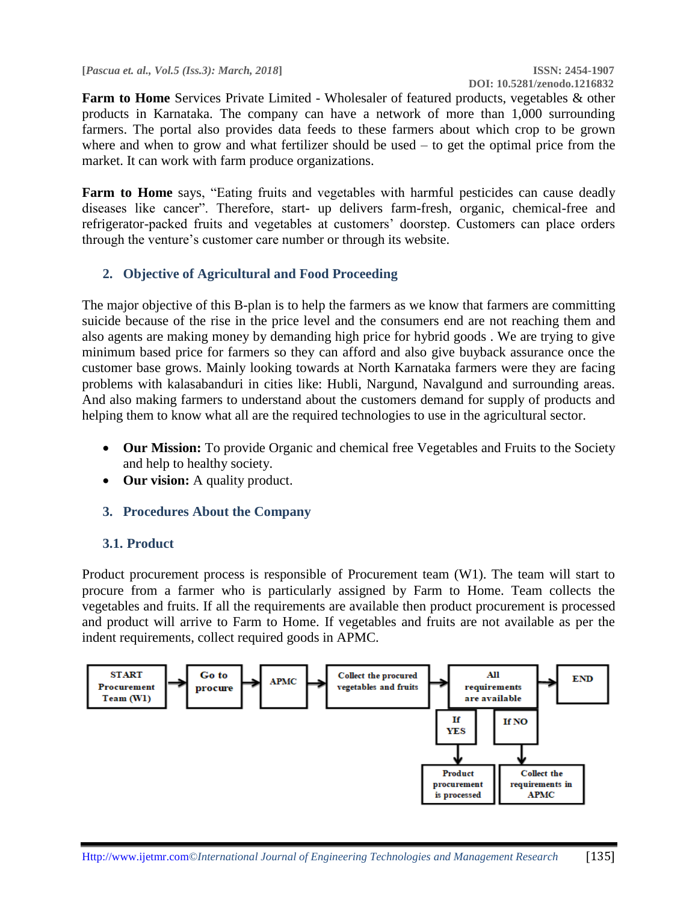**[***Pascua et. al., Vol.5 (Iss.3): March, 2018***] ISSN: 2454-1907**

**Farm to Home** Services Private Limited - Wholesaler of featured products, vegetables & other products in Karnataka. The company can have a network of more than 1,000 surrounding farmers. The portal also provides data feeds to these farmers about which crop to be grown where and when to grow and what fertilizer should be used – to get the optimal price from the market. It can work with farm produce organizations.

**Farm to Home** says, "Eating fruits and vegetables with harmful pesticides can cause deadly diseases like cancer". Therefore, start- up delivers farm-fresh, organic, chemical-free and refrigerator-packed fruits and vegetables at customers' doorstep. Customers can place orders through the venture's customer care number or through its website.

# **2. Objective of Agricultural and Food Proceeding**

The major objective of this B-plan is to help the farmers as we know that farmers are committing suicide because of the rise in the price level and the consumers end are not reaching them and also agents are making money by demanding high price for hybrid goods . We are trying to give minimum based price for farmers so they can afford and also give buyback assurance once the customer base grows. Mainly looking towards at North Karnataka farmers were they are facing problems with kalasabanduri in cities like: Hubli, Nargund, Navalgund and surrounding areas. And also making farmers to understand about the customers demand for supply of products and helping them to know what all are the required technologies to use in the agricultural sector.

- **Our Mission:** To provide Organic and chemical free Vegetables and Fruits to the Society and help to healthy society.
- **Our vision:** A quality product.
- **3. Procedures About the Company**

# **3.1. Product**

Product procurement process is responsible of Procurement team (W1). The team will start to procure from a farmer who is particularly assigned by Farm to Home. Team collects the vegetables and fruits. If all the requirements are available then product procurement is processed and product will arrive to Farm to Home. If vegetables and fruits are not available as per the indent requirements, collect required goods in APMC.

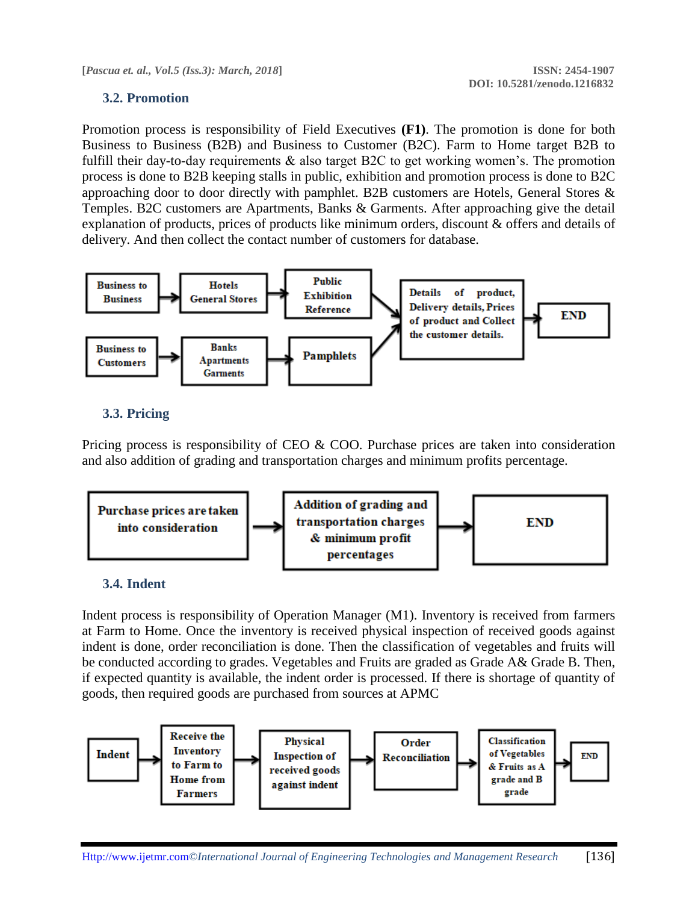#### **3.2. Promotion**

Promotion process is responsibility of Field Executives **(F1)**. The promotion is done for both Business to Business (B2B) and Business to Customer (B2C). Farm to Home target B2B to fulfill their day-to-day requirements & also target B2C to get working women's. The promotion process is done to B2B keeping stalls in public, exhibition and promotion process is done to B2C approaching door to door directly with pamphlet. B2B customers are Hotels, General Stores & Temples. B2C customers are Apartments, Banks & Garments. After approaching give the detail explanation of products, prices of products like minimum orders, discount & offers and details of delivery. And then collect the contact number of customers for database.



#### **3.3. Pricing**

Pricing process is responsibility of CEO & COO. Purchase prices are taken into consideration and also addition of grading and transportation charges and minimum profits percentage.



#### **3.4. Indent**

Indent process is responsibility of Operation Manager (M1). Inventory is received from farmers at Farm to Home. Once the inventory is received physical inspection of received goods against indent is done, order reconciliation is done. Then the classification of vegetables and fruits will be conducted according to grades. Vegetables and Fruits are graded as Grade A& Grade B. Then, if expected quantity is available, the indent order is processed. If there is shortage of quantity of goods, then required goods are purchased from sources at APMC

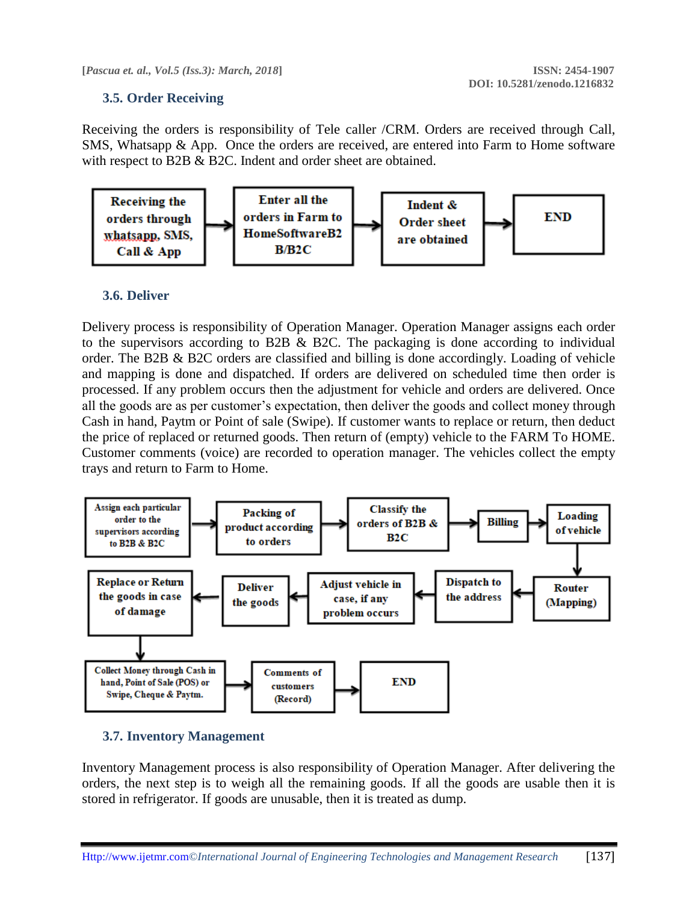**[***Pascua et. al., Vol.5 (Iss.3): March, 2018***] ISSN: 2454-1907**

#### **3.5. Order Receiving**

Receiving the orders is responsibility of Tele caller /CRM. Orders are received through Call, SMS, Whatsapp & App. Once the orders are received, are entered into Farm to Home software with respect to B2B & B2C. Indent and order sheet are obtained.



#### **3.6. Deliver**

Delivery process is responsibility of Operation Manager. Operation Manager assigns each order to the supervisors according to B2B & B2C. The packaging is done according to individual order. The B2B & B2C orders are classified and billing is done accordingly. Loading of vehicle and mapping is done and dispatched. If orders are delivered on scheduled time then order is processed. If any problem occurs then the adjustment for vehicle and orders are delivered. Once all the goods are as per customer's expectation, then deliver the goods and collect money through Cash in hand, Paytm or Point of sale (Swipe). If customer wants to replace or return, then deduct the price of replaced or returned goods. Then return of (empty) vehicle to the FARM To HOME. Customer comments (voice) are recorded to operation manager. The vehicles collect the empty trays and return to Farm to Home.



# **3.7. Inventory Management**

Inventory Management process is also responsibility of Operation Manager. After delivering the orders, the next step is to weigh all the remaining goods. If all the goods are usable then it is stored in refrigerator. If goods are unusable, then it is treated as dump.